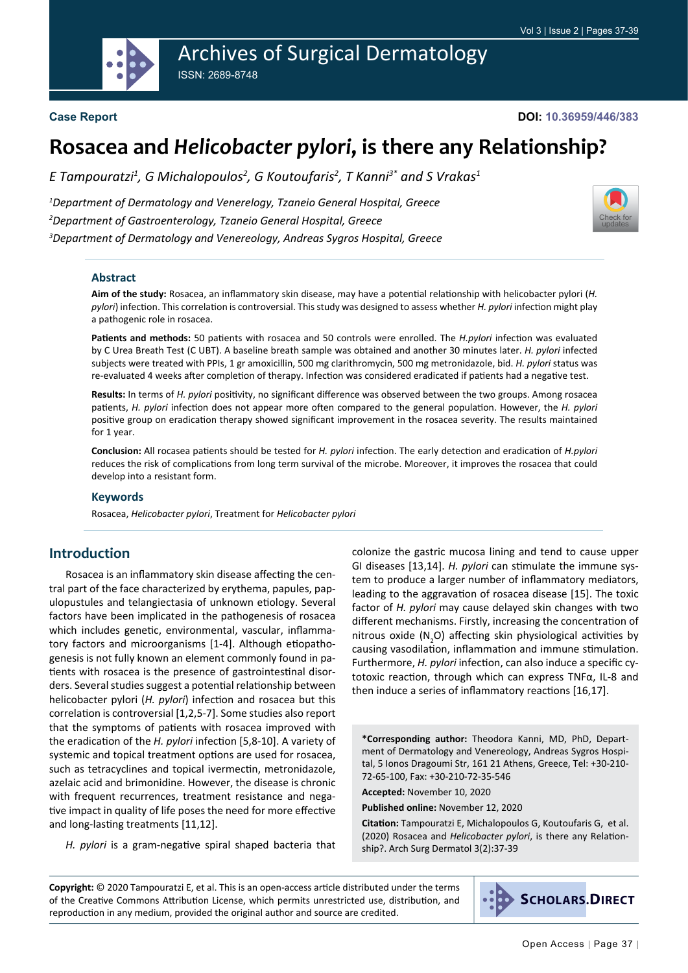Archives of Surgical Dermatology ISSN: 2689-8748



#### **Case Report**

**DOI: 10.36959/446/383**

# **Rosacea and** *Helicobacter pylori***, is there any Relationship?**

*Ε Tampouratzi<sup>1</sup> , G Michalopoulos<sup>2</sup> , G Koutoufaris<sup>2</sup> , T Kanni3\* and S Vrakas<sup>1</sup>*

*1 Department of Dermatology and Venerelogy, Tzaneio General Hospital, Greece 2 Department of Gastroenterology, Tzaneio General Hospital, Greece 3 Department of Dermatology and Venereology, Andreas Sygros Hospital, Greece*



#### **Abstract**

**Aim of the study:** Rosacea, an inflammatory skin disease, may have a potential relationship with helicobacter pylori (*H. pylori*) infection. This correlation is controversial. This study was designed to assess whether *H. pylori* infection might play a pathogenic role in rosacea.

**Patients and methods:** 50 patients with rosacea and 50 controls were enrolled. The *H.pylori* infection was evaluated by C Urea Breath Test (C UBT). A baseline breath sample was obtained and another 30 minutes later. *H. pylori* infected subjects were treated with PPIs, 1 gr amoxicillin, 500 mg clarithromycin, 500 mg metronidazole, bid. *H. pylori* status was re-evaluated 4 weeks after completion of therapy. Infection was considered eradicated if patients had a negative test.

**Results:** In terms of *H. pylori* positivity, no significant difference was observed between the two groups. Among rosacea patients, *H. pylori* infection does not appear more often compared to the general population. However, the *H. pylori* positive group on eradication therapy showed significant improvement in the rosacea severity. The results maintained for 1 year.

**Conclusion:** All rocasea patients should be tested for *H. pylori* infection. The early detection and eradication of *H.pylori* reduces the risk of complications from long term survival of the microbe. Moreover, it improves the rosacea that could develop into a resistant form.

#### **Keywords**

Rosacea, *Helicobacter pylori*, Treatment for *Helicobacter pylori*

#### **Introduction**

Rosacea is an inflammatory skin disease affecting the central part of the face characterized by erythema, papules, papulopustules and telangiectasia of unknown etiology. Several factors have been implicated in the pathogenesis of rosacea which includes genetic, environmental, vascular, inflammatory factors and microorganisms [1-4]. Although etiopathogenesis is not fully known an element commonly found in patients with rosacea is the presence of gastrointestinal disorders. Several studies suggest a potential relationship between helicobacter pylori (*H. pylori*) infection and rosacea but this correlation is controversial [1,2,5-7]. Some studies also report that the symptoms of patients with rosacea improved with the eradication of the *H. pylori* infection [5,8-10]. A variety of systemic and topical treatment options are used for rosacea, such as tetracyclines and topical ivermectin, metronidazole, azelaic acid and brimonidine. However, the disease is chronic with frequent recurrences, treatment resistance and negative impact in quality of life poses the need for more effective and long-lasting treatments [11,12].

*H. pylori* is a gram-negative spiral shaped bacteria that

colonize the gastric mucosa lining and tend to cause upper GI diseases [13,14]. *H. pylori* can stimulate the immune system to produce a larger number of inflammatory mediators, leading to the aggravation of rosacea disease [15]. The toxic factor of *H. pylori* may cause delayed skin changes with two different mechanisms. Firstly, increasing the concentration of nitrous oxide  $(N_2O)$  affecting skin physiological activities by causing vasodilation, inflammation and immune stimulation. Furthermore, *H. pylori* infection, can also induce a specific cytotoxic reaction, through which can express TNFα, IL-8 and then induce a series of inflammatory reactions [16,17].

**\*Corresponding author:** Theodora Kanni, MD, PhD, Department of Dermatology and Venereology, Andreas Sygros Hospital, 5 Ionos Dragoumi Str, 161 21 Athens, Greece, Tel: +30-210- 72-65-100, Fax: +30-210-72-35-546

**Accepted:** November 10, 2020

**Published online:** November 12, 2020

**Citation:** Tampouratzi E, Michalopoulos G, Koutoufaris G, et al. (2020) Rosacea and *Helicobacter pylori*, is there any Relationship?. Arch Surg Dermatol 3(2):37-39

**Copyright:** © 2020 Tampouratzi E, et al. This is an open-access article distributed under the terms of the Creative Commons Attribution License, which permits unrestricted use, distribution, and reproduction in any medium, provided the original author and source are credited.

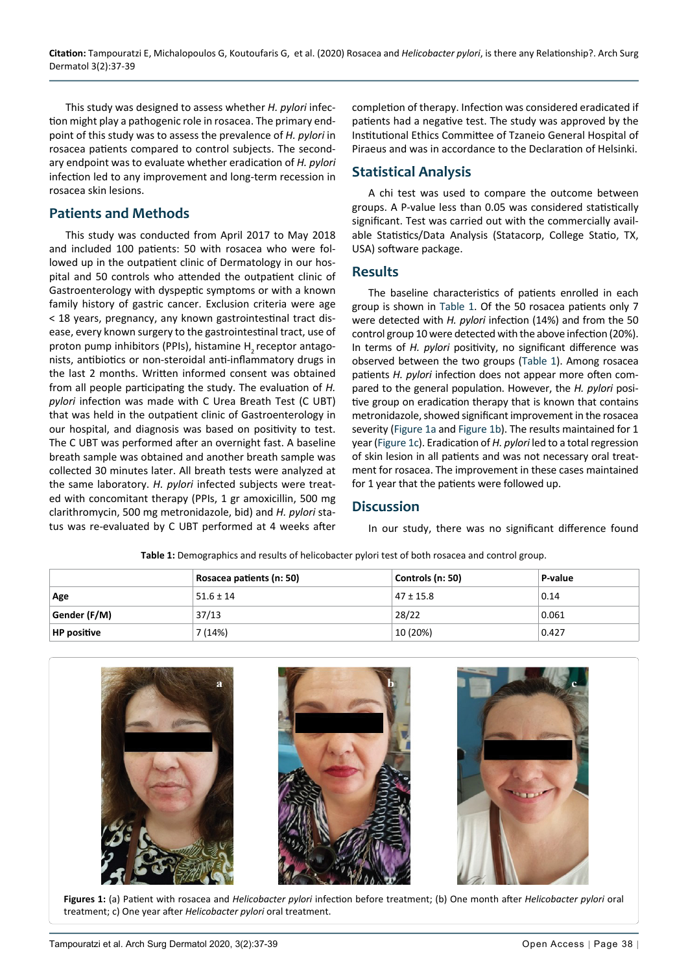This study was designed to assess whether *H. pylori* infection might play a pathogenic role in rosacea. The primary endpoint of this study was to assess the prevalence of *H. pylori* in rosacea patients compared to control subjects. The secondary endpoint was to evaluate whether eradication of *H. pylori* infection led to any improvement and long-term recession in rosacea skin lesions.

## **Patients and Methods**

This study was conducted from April 2017 to May 2018 and included 100 patients: 50 with rosacea who were followed up in the outpatient clinic of Dermatology in our hospital and 50 controls who attended the outpatient clinic of Gastroenterology with dyspeptic symptoms or with a known family history of gastric cancer. Exclusion criteria were age < 18 years, pregnancy, any known gastrointestinal tract disease, every known surgery to the gastrointestinal tract, use of proton pump inhibitors (PPIs), histamine H<sub>2</sub> receptor antagonists, antibiotics or non-steroidal anti-inflammatory drugs in the last 2 months. Written informed consent was obtained from all people participating the study. The evaluation of *H. pylori* infection was made with C Urea Breath Test (C UBT) that was held in the outpatient clinic of Gastroenterology in our hospital, and diagnosis was based on positivity to test. The C UBT was performed after an overnight fast. A baseline breath sample was obtained and another breath sample was collected 30 minutes later. All breath tests were analyzed at the same laboratory. *H. pylori* infected subjects were treated with concomitant therapy (PPIs, 1 gr amoxicillin, 500 mg clarithromycin, 500 mg metronidazole, bid) and *H. pylori* status was re-evaluated by C UBT performed at 4 weeks after

completion of therapy. Infection was considered eradicated if patients had a negative test. The study was approved by the Institutional Ethics Committee of Tzaneio General Hospital of Piraeus and was in accordance to the Declaration of Helsinki.

## **Statistical Analysis**

A chi test was used to compare the outcome between groups. A P-value less than 0.05 was considered statistically significant. Test was carried out with the commercially available Statistics/Data Analysis (Statacorp, College Statio, TX, USA) software package.

#### **Results**

The baseline characteristics of patients enrolled in each group is shown in [Table 1](#page-1-0). Of the 50 rosacea patients only 7 were detected with *H. pylori* infection (14%) and from the 50 control group 10 were detected with the above infection (20%). In terms of *H. pylori* positivity, no significant difference was observed between the two groups ([Table 1\)](#page-1-0). Among rosacea patients *H. pylori* infection does not appear more often compared to the general population. However, the *H. pylori* positive group on eradication therapy that is known that contains metronidazole, showed significant improvement in the rosacea severity [\(Figure 1a](#page-1-1) and [Figure 1b\)](#page-1-1). The results maintained for 1 year ([Figure 1c](#page-1-1)). Eradication of *H. pylori* led to a total regression of skin lesion in all patients and was not necessary oral treatment for rosacea. The improvement in these cases maintained for 1 year that the patients were followed up.

#### **Discussion**

In our study, there was no significant difference found

|                    | Rosacea patients (n: 50) | Controls (n: 50) | P-value |
|--------------------|--------------------------|------------------|---------|
| Age                | $51.6 \pm 14$            | $47 \pm 15.8$    | 0.14    |
| Gender (F/M)       | 37/13                    | 28/22            | 0.061   |
| <b>HP</b> positive | 7 (14%)                  | 10 (20%)         | 0.427   |

<span id="page-1-0"></span>**Table 1:** Demographics and results of helicobacter pylori test of both rosacea and control group.

<span id="page-1-1"></span>

**Figures 1:** (a) Patient with rosacea and *Helicobacter pylori* infection before treatment; (b) One month after *Helicobacter pylori* oral treatment; c) One year after *Helicobacter pylori* oral treatment.